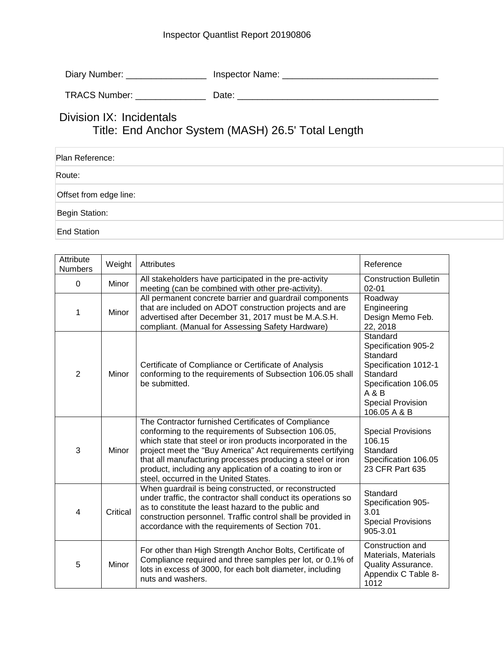## Inspector Quantlist Report 20190806

Diary Number: \_\_\_\_\_\_\_\_\_\_\_\_\_\_\_\_\_\_\_\_\_ Inspector Name: \_\_\_\_\_\_\_\_\_\_\_\_\_\_\_\_\_\_\_\_\_\_\_\_\_\_\_\_

| <b>TRACS Number:</b> |  |
|----------------------|--|
|                      |  |

## Division IX: Incidentals Title: End Anchor System (MASH) 26.5' Total Length

| Plan Reference:        |  |
|------------------------|--|
| Route:                 |  |
| Offset from edge line: |  |
| Begin Station:         |  |
| End Station            |  |

| Attribute<br><b>Numbers</b> | Weight   | Attributes                                                                                                                                                                                                                                                                                                                                                                                                    | Reference                                                                                                                                                    |
|-----------------------------|----------|---------------------------------------------------------------------------------------------------------------------------------------------------------------------------------------------------------------------------------------------------------------------------------------------------------------------------------------------------------------------------------------------------------------|--------------------------------------------------------------------------------------------------------------------------------------------------------------|
| $\Omega$                    | Minor    | All stakeholders have participated in the pre-activity<br>meeting (can be combined with other pre-activity).                                                                                                                                                                                                                                                                                                  | <b>Construction Bulletin</b><br>$02 - 01$                                                                                                                    |
| 1                           | Minor    | All permanent concrete barrier and guardrail components<br>that are included on ADOT construction projects and are<br>advertised after December 31, 2017 must be M.A.S.H.<br>compliant. (Manual for Assessing Safety Hardware)                                                                                                                                                                                | Roadway<br>Engineering<br>Design Memo Feb.<br>22, 2018                                                                                                       |
| $\overline{2}$              | Minor    | Certificate of Compliance or Certificate of Analysis<br>conforming to the requirements of Subsection 106.05 shall<br>be submitted.                                                                                                                                                                                                                                                                            | Standard<br>Specification 905-2<br>Standard<br>Specification 1012-1<br>Standard<br>Specification 106.05<br>A & B<br><b>Special Provision</b><br>106.05 A & B |
| 3                           | Minor    | The Contractor furnished Certificates of Compliance<br>conforming to the requirements of Subsection 106.05,<br>which state that steel or iron products incorporated in the<br>project meet the "Buy America" Act requirements certifying<br>that all manufacturing processes producing a steel or iron<br>product, including any application of a coating to iron or<br>steel, occurred in the United States. | <b>Special Provisions</b><br>106.15<br>Standard<br>Specification 106.05<br>23 CFR Part 635                                                                   |
| 4                           | Critical | When guardrail is being constructed, or reconstructed<br>under traffic, the contractor shall conduct its operations so<br>as to constitute the least hazard to the public and<br>construction personnel. Traffic control shall be provided in<br>accordance with the requirements of Section 701.                                                                                                             | Standard<br>Specification 905-<br>3.01<br><b>Special Provisions</b><br>905-3.01                                                                              |
| 5                           | Minor    | For other than High Strength Anchor Bolts, Certificate of<br>Compliance required and three samples per lot, or 0.1% of<br>lots in excess of 3000, for each bolt diameter, including<br>nuts and washers.                                                                                                                                                                                                      | Construction and<br>Materials, Materials<br><b>Quality Assurance.</b><br>Appendix C Table 8-<br>1012                                                         |